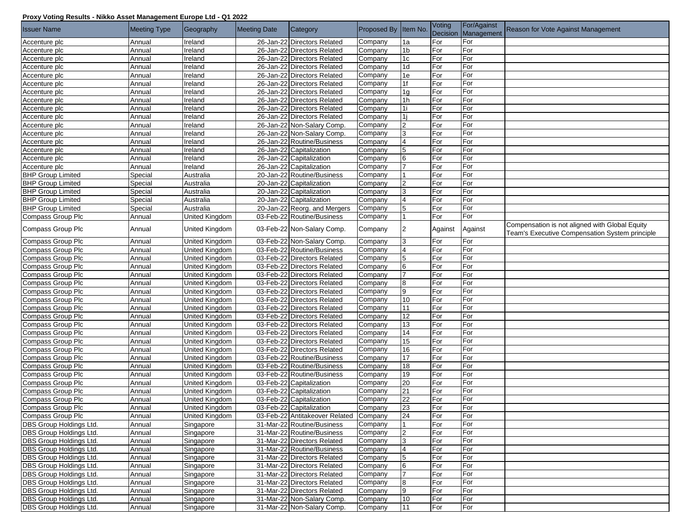## **Proxy Voting Results - Nikko Asset Management Europe Ltd - Q1 2022**

| <b>Issuer Name</b>             | <b>Meeting Type</b> | Geography             | <b>Meeting Date</b> | Category                               | Proposed By Item No. |                 | Voting<br>Decision | For/Against<br>Management | Reason for Vote Against Management                                                               |
|--------------------------------|---------------------|-----------------------|---------------------|----------------------------------------|----------------------|-----------------|--------------------|---------------------------|--------------------------------------------------------------------------------------------------|
| Accenture plc                  | Annual              | Ireland               |                     | 26-Jan-22 Directors Related            | Company              | 1a              | For                | For                       |                                                                                                  |
| Accenture plc                  | Annual              | Ireland               |                     | 26-Jan-22 Directors Related            | Company              | 1b              | For                | For                       |                                                                                                  |
| Accenture plc                  | Annual              | Ireland               |                     | 26-Jan-22 Directors Related            | Company              | 1 <sub>c</sub>  | For                | For                       |                                                                                                  |
| Accenture plc                  | Annual              | Ireland               |                     | 26-Jan-22 Directors Related            | Company              | 1 <sub>d</sub>  | For                | For                       |                                                                                                  |
| Accenture plc                  | Annual              | Ireland               |                     | 26-Jan-22 Directors Related            | Company              | 1e              | For                | For                       |                                                                                                  |
| Accenture plc                  | Annual              | Ireland               |                     | 26-Jan-22 Directors Related            | Company              | 1f              | For                | For                       |                                                                                                  |
| Accenture plc                  | Annual              | Ireland               |                     | 26-Jan-22 Directors Related            | Company              | 1 <sub>q</sub>  | For                | For                       |                                                                                                  |
| Accenture plc                  | Annual              | Ireland               |                     | 26-Jan-22 Directors Related            | Company              | 1h              | For                | For                       |                                                                                                  |
| Accenture plc                  | Annual              | Ireland               |                     | 26-Jan-22 Directors Related            | Company              | 1i              | For                | For                       |                                                                                                  |
| Accenture plc                  | Annual              | Ireland               |                     | 26-Jan-22 Directors Related            | Company              | <sup>1</sup> i  | For                | For                       |                                                                                                  |
| Accenture plc                  | Annual              | <b>Ireland</b>        |                     | 26-Jan-22 Non-Salary Comp.             | Company              | $\overline{2}$  | For                | For                       |                                                                                                  |
| Accenture plc                  | Annual              | Ireland               |                     | 26-Jan-22 Non-Salary Comp.             | Company              | 3               | For                | For                       |                                                                                                  |
| Accenture plc                  | Annual              | Ireland               |                     | 26-Jan-22 Routine/Business             | Company              | $\overline{4}$  | For                | For                       |                                                                                                  |
| Accenture plc                  | Annual              | Ireland               |                     | 26-Jan-22 Capitalization               | Company              | $5\phantom{.0}$ | For                | For                       |                                                                                                  |
| Accenture plc                  | Annual              | Ireland               |                     | 26-Jan-22 Capitalization               | Company              | 6               | For                | For                       |                                                                                                  |
| Accenture plc                  | Annual              | Ireland               |                     | 26-Jan-22 Capitalization               | Company              | 17              | For                | For                       |                                                                                                  |
| <b>BHP</b> Group Limited       | Special             | Australia             |                     | 20-Jan-22 Routine/Business             | Company              |                 | For                | For                       |                                                                                                  |
| <b>BHP Group Limited</b>       | Special             | Australia             |                     | 20-Jan-22 Capitalization               | Company              | 2               | For                | For                       |                                                                                                  |
| <b>BHP</b> Group Limited       | Special             | Australia             |                     | 20-Jan-22 Capitalization               | Company              | 3               | For                | For                       |                                                                                                  |
| <b>BHP Group Limited</b>       | Special             | Australia             |                     | 20-Jan-22 Capitalization               | Company              | $\overline{4}$  | For                | For                       |                                                                                                  |
| <b>BHP Group Limited</b>       | Special             | Australia             |                     | 20-Jan-22 Reorg. and Mergers           | Company              | $5\phantom{.0}$ | For                | For                       |                                                                                                  |
| Compass Group Plc              | Annual              | <b>United Kingdom</b> |                     | 03-Feb-22 Routine/Business             | Company              |                 | For                | For                       |                                                                                                  |
| Compass Group Plc              | Annual              | United Kingdom        |                     | 03-Feb-22 Non-Salary Comp.             | Company              | 2               | Against            | Against                   | Compensation is not aligned with Global Equity<br>Team's Executive Compensation System principle |
| Compass Group Plc              | Annual              | United Kingdom        |                     | 03-Feb-22 Non-Salary Comp.             | Company              | 3               | For                | For                       |                                                                                                  |
| Compass Group Plc              | Annual              | United Kingdom        |                     | 03-Feb-22 Routine/Business             | Company              | $\overline{4}$  | For                | For                       |                                                                                                  |
| Compass Group Plc              | Annual              | United Kingdom        |                     | 03-Feb-22 Directors Related            | Company              | 5               | For                | For                       |                                                                                                  |
| Compass Group Plc              | Annual              | United Kingdom        |                     | 03-Feb-22 Directors Related            | Company              | 6               | For                | For                       |                                                                                                  |
| Compass Group Plc              | Annual              | United Kingdom        |                     | 03-Feb-22 Directors Related            | Company              | 17              | For                | For                       |                                                                                                  |
| Compass Group Plc              | Annual              | United Kingdom        |                     | 03-Feb-22 Directors Related            | Company              | 8               | For                | For                       |                                                                                                  |
| Compass Group Plc              | Annual              | United Kingdom        |                     | 03-Feb-22 Directors Related            | Company              | 9               | For                | For                       |                                                                                                  |
| Compass Group Plc              | Annual              | United Kingdom        |                     | 03-Feb-22 Directors Related            | Company              | 10              | For                | For                       |                                                                                                  |
| Compass Group Plc              | Annual              | United Kingdom        |                     | 03-Feb-22 Directors Related            | Company              | 11              | For                | For                       |                                                                                                  |
| Compass Group Plc              | Annual              | United Kingdom        |                     | 03-Feb-22 Directors Related            | Company              | 12              | For                | For                       |                                                                                                  |
| Compass Group Plc              | Annual              | United Kingdom        |                     | 03-Feb-22 Directors Related            | Company              | 13              | For                | For                       |                                                                                                  |
| Compass Group Plc              | Annual              | United Kingdom        |                     | 03-Feb-22 Directors Related            | Company              | 14              | For                | For                       |                                                                                                  |
| Compass Group Plc              | Annual              | United Kingdom        |                     | 03-Feb-22 Directors Related            | Company              | 15              | For                | For                       |                                                                                                  |
| Compass Group Plc              | Annual              | United Kingdom        |                     | 03-Feb-22 Directors Related            | Company              | 16              | For                | For                       |                                                                                                  |
| Compass Group Plc              | Annual              | United Kingdom        |                     | 03-Feb-22 Routine/Business             | Company              | 17              | For                | For                       |                                                                                                  |
| Compass Group Plc              | Annual              | United Kingdom        |                     | 03-Feb-22 Routine/Business             | Company              | 18              | For                | For                       |                                                                                                  |
| Compass Group Plc              | Annual              | United Kingdom        |                     | 03-Feb-22 Routine/Business             | Company              | 19              | For                | For                       |                                                                                                  |
| Compass Group Plc              | Annual              | United Kingdom        |                     | 03-Feb-22 Capitalization               | Company              | 20              | For                | For                       |                                                                                                  |
| Compass Group Plc              | Annual              | United Kingdom        |                     | 03-Feb-22 Capitalization               | Company              | 21              | For                | For                       |                                                                                                  |
| Compass Group Plc              | Annual              | United Kingdom        |                     | 03-Feb-22 Capitalization               | Company              | 22              | For                | For                       |                                                                                                  |
| Compass Group Plc              | Annual              | United Kingdom        |                     | 03-Feb-22 Capitalization               | Company              | 23              | For                | For                       |                                                                                                  |
| Compass Group Plc              | Annual              | United Kingdom        |                     | 03-Feb-22 Antitakeover Related Company |                      | 24              | For                | For                       |                                                                                                  |
| <b>DBS Group Holdings Ltd.</b> | Annual              | Singapore             |                     | 31-Mar-22 Routine/Business             | Company              |                 | For                | For                       |                                                                                                  |
| DBS Group Holdings Ltd.        | Annual              | Singapore             |                     | 31-Mar-22 Routine/Business             | Company              | 2               | For                | For                       |                                                                                                  |
| <b>DBS Group Holdings Ltd.</b> | Annual              | Singapore             |                     | 31-Mar-22 Directors Related            | Company              | 3               | For                | For                       |                                                                                                  |
| <b>DBS Group Holdings Ltd.</b> | Annual              | Singapore             |                     | 31-Mar-22 Routine/Business             | Company              | $\overline{4}$  | For                | For                       |                                                                                                  |
| DBS Group Holdings Ltd.        | Annual              | Singapore             |                     | 31-Mar-22 Directors Related            | Company              | 5               | For                | For                       |                                                                                                  |
| <b>DBS Group Holdings Ltd.</b> | Annual              | Singapore             |                     | 31-Mar-22 Directors Related            | Company              | 6               | For                | For                       |                                                                                                  |
| <b>DBS Group Holdings Ltd.</b> | Annual              | Singapore             |                     | 31-Mar-22 Directors Related            | Company              | 17              | For                | For                       |                                                                                                  |
| DBS Group Holdings Ltd.        | Annual              | Singapore             |                     | 31-Mar-22 Directors Related            | Company              | 8               | For                | For                       |                                                                                                  |
| <b>DBS Group Holdings Ltd.</b> | Annual              | Singapore             |                     | 31-Mar-22 Directors Related            | Company              | 9               | For                | For                       |                                                                                                  |
| <b>DBS Group Holdings Ltd.</b> | Annual              | Singapore             |                     | 31-Mar-22 Non-Salary Comp.             | Company              | 10              | For                | For                       |                                                                                                  |
| <b>DBS Group Holdings Ltd.</b> | Annual              | Singapore             |                     | 31-Mar-22 Non-Salary Comp.             | Company              | 11              | For                | For                       |                                                                                                  |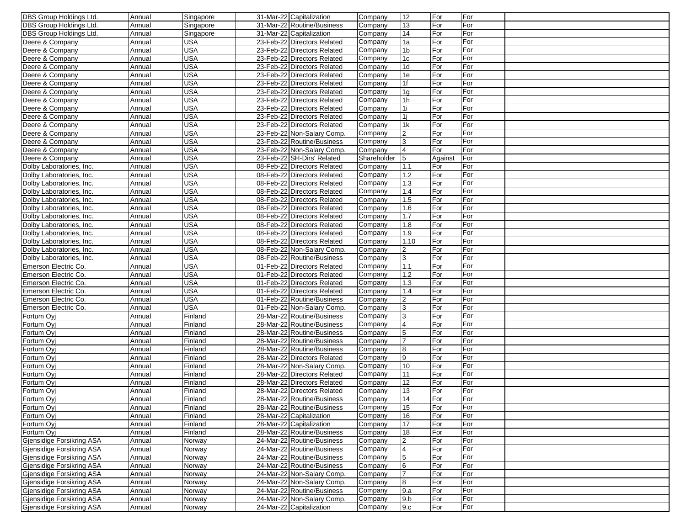| <b>DBS Group Holdings Ltd.</b> | Annual | Singapore  | 31-Mar-22 Capitalization    | Company     | 12              | For        | For        |  |
|--------------------------------|--------|------------|-----------------------------|-------------|-----------------|------------|------------|--|
| <b>DBS Group Holdings Ltd.</b> | Annual | Singapore  | 31-Mar-22 Routine/Business  | Company     | 13              | For        | For        |  |
| <b>DBS Group Holdings Ltd.</b> | Annual | Singapore  | 31-Mar-22 Capitalization    | Company     | 14              | For        | For        |  |
| Deere & Company                | Annual | <b>USA</b> | 23-Feb-22 Directors Related | Company     | 1a              | For        | For        |  |
| Deere & Company                | Annual | <b>USA</b> | 23-Feb-22 Directors Related | Company     | 1b              | For        | For        |  |
| Deere & Company                | Annual | <b>USA</b> | 23-Feb-22 Directors Related | Company     | 1 <sub>c</sub>  | For        | For        |  |
| Deere & Company                | Annual | <b>USA</b> | 23-Feb-22 Directors Related | Company     | 1d              | For        | For        |  |
| Deere & Company                | Annual | <b>USA</b> | 23-Feb-22 Directors Related | Company     | 1e              | For        | For        |  |
| Deere & Company                | Annual | <b>USA</b> | 23-Feb-22 Directors Related | Company     | 1f              | For        | For        |  |
| Deere & Company                | Annual | <b>USA</b> | 23-Feb-22 Directors Related | Company     | 1 <sub>q</sub>  | For        | For        |  |
| Deere & Company                | Annual | <b>USA</b> | 23-Feb-22 Directors Related | Company     | 1h              | For        | For        |  |
| Deere & Company                | Annual | <b>USA</b> | 23-Feb-22 Directors Related | Company     | 1i              | For        | For        |  |
| Deere & Company                | Annual | <b>USA</b> | 23-Feb-22 Directors Related | Company     | 1i              | For        | For        |  |
| Deere & Company                | Annual | <b>USA</b> | 23-Feb-22 Directors Related | Company     | 1k              | For        | For        |  |
| Deere & Company                | Annual | <b>USA</b> | 23-Feb-22 Non-Salary Comp.  | Company     | $\overline{2}$  | For        | For        |  |
| Deere & Company                | Annual | <b>USA</b> | 23-Feb-22 Routine/Business  | Company     | 3               | For        | For        |  |
| Deere & Company                | Annual | <b>USA</b> | 23-Feb-22 Non-Salary Comp.  | Company     | $\overline{4}$  | For        | For        |  |
| Deere & Company                | Annual | <b>USA</b> | 23-Feb-22 SH-Dirs' Related  | Shareholder | 5               | Against    | For        |  |
| Dolby Laboratories, Inc.       | Annual | <b>USA</b> | 08-Feb-22 Directors Related | Company     | 1.1             | For        | For        |  |
| Dolby Laboratories, Inc.       | Annual | <b>USA</b> | 08-Feb-22 Directors Related | Company     | 1.2             | For        | For        |  |
|                                | Annual | <b>USA</b> | 08-Feb-22 Directors Related | Company     | 1.3             | For        | For        |  |
| Dolby Laboratories, Inc.       |        | <b>USA</b> | 08-Feb-22 Directors Related |             | 1.4             | For        | For        |  |
| Dolby Laboratories, Inc.       | Annual |            |                             | Company     |                 |            |            |  |
| Dolby Laboratories, Inc.       | Annual | <b>USA</b> | 08-Feb-22 Directors Related | Company     | 1.5             | For<br>For | For<br>For |  |
| Dolby Laboratories, Inc.       | Annual | <b>USA</b> | 08-Feb-22 Directors Related | Company     | 1.6             |            |            |  |
| Dolby Laboratories, Inc.       | Annual | <b>USA</b> | 08-Feb-22 Directors Related | Company     | 1.7             | For        | For        |  |
| Dolby Laboratories, Inc.       | Annual | <b>USA</b> | 08-Feb-22 Directors Related | Company     | 1.8             | For        | For        |  |
| Dolby Laboratories, Inc.       | Annual | <b>USA</b> | 08-Feb-22 Directors Related | Company     | 1.9             | For        | For        |  |
| Dolby Laboratories, Inc.       | Annual | <b>USA</b> | 08-Feb-22 Directors Related | Company     | 1.10            | For        | For        |  |
| Dolby Laboratories, Inc.       | Annual | <b>USA</b> | 08-Feb-22 Non-Salary Comp.  | Company     | 2               | For        | For        |  |
| Dolby Laboratories, Inc.       | Annual | <b>USA</b> | 08-Feb-22 Routine/Business  | Company     | 3               | For        | For        |  |
| Emerson Electric Co.           | Annual | <b>USA</b> | 01-Feb-22 Directors Related | Company     | 1.1             | For        | For        |  |
| Emerson Electric Co.           | Annual | <b>USA</b> | 01-Feb-22 Directors Related | Company     | 1.2             | For        | For        |  |
| Emerson Electric Co.           | Annual | <b>USA</b> | 01-Feb-22 Directors Related | Company     | 1.3             | For        | For        |  |
| Emerson Electric Co.           | Annual | <b>USA</b> | 01-Feb-22 Directors Related | Company     | 1.4             | For        | For        |  |
| Emerson Electric Co.           | Annual | <b>USA</b> | 01-Feb-22 Routine/Business  | Company     | $\overline{2}$  | For        | For        |  |
| Emerson Electric Co.           | Annual | <b>USA</b> | 01-Feb-22 Non-Salary Comp.  | Company     | 3               | For        | For        |  |
| Fortum Ovi                     | Annual | Finland    | 28-Mar-22 Routine/Business  | Company     | 3               | For        | For        |  |
| Fortum Oyj                     | Annual | Finland    | 28-Mar-22 Routine/Business  | Company     |                 | For        | For        |  |
| Fortum Ovi                     | Annual | Finland    | 28-Mar-22 Routine/Business  | Company     | 5               | For        | For        |  |
| Fortum Ovi                     | Annual | Finland    | 28-Mar-22 Routine/Business  | Company     | $\overline{7}$  | For        | For        |  |
| Fortum Ovi                     | Annual | Finland    | 28-Mar-22 Routine/Business  | Company     | 8               | For        | For        |  |
| Fortum Ovi                     | Annual | Finland    | 28-Mar-22 Directors Related | Company     | 9               | For        | For        |  |
| Fortum Ovi                     | Annual | Finland    | 28-Mar-22 Non-Salary Comp.  | Company     | 10              | For        | For        |  |
| Fortum Ovi                     | Annual | Finland    | 28-Mar-22 Directors Related | Company     | 11              | For        | For        |  |
| Fortum Ovi                     | Annual | Finland    | 28-Mar-22 Directors Related | Company     | 12              | For        | For        |  |
| Fortum Ovi                     | Annual | Finland    | 28-Mar-22 Directors Related | Company     | 13              | For        | For        |  |
| Fortum Oyj                     | Annual | Finland    | 28-Mar-22 Routine/Business  | Company     | 14              | For        | For        |  |
| Fortum Oyj                     | Annual | Finland    | 28-Mar-22 Routine/Business  | Company     | 15              | For        | For        |  |
| Fortum Ovi                     | Annual | Finland    | 28-Mar-22 Capitalization    | Company     | 16              | For        | For        |  |
| Fortum Ovi                     | Annual | Finland    | 28-Mar-22 Capitalization    | Company     | 17              | For        | For        |  |
| Fortum Oyj                     | Annual | Finland    | 28-Mar-22 Routine/Business  | Company     | 18              | For        | For        |  |
| Gjensidige Forsikring ASA      | Annual | Norway     | 24-Mar-22 Routine/Business  | Company     | 2               | For        | For        |  |
| Gjensidige Forsikring ASA      | Annual | Norway     | 24-Mar-22 Routine/Business  | Company     | $\overline{4}$  | For        | For        |  |
| Gjensidige Forsikring ASA      | Annual | Norway     | 24-Mar-22 Routine/Business  | Company     | $5\phantom{.0}$ | For        | For        |  |
| Gjensidige Forsikring ASA      | Annual | Norway     | 24-Mar-22 Routine/Business  | Company     | 6               | For        | For        |  |
| Gjensidige Forsikring ASA      | Annual | Norway     | 24-Mar-22 Non-Salary Comp.  | Company     | $\overline{7}$  | For        | For        |  |
| Gjensidige Forsikring ASA      | Annual | Norway     | 24-Mar-22 Non-Salary Comp.  | Company     | 8               | For        | For        |  |
| Gjensidige Forsikring ASA      | Annual | Norway     | 24-Mar-22 Routine/Business  | Company     | 9.a             | For        | For        |  |
| Gjensidige Forsikring ASA      | Annual | Norway     | 24-Mar-22 Non-Salary Comp.  | Company     | 9.b             | For        | For        |  |
| Gjensidige Forsikring ASA      | Annual | Norway     | 24-Mar-22 Capitalization    | Company     | 9.c             | For        | For        |  |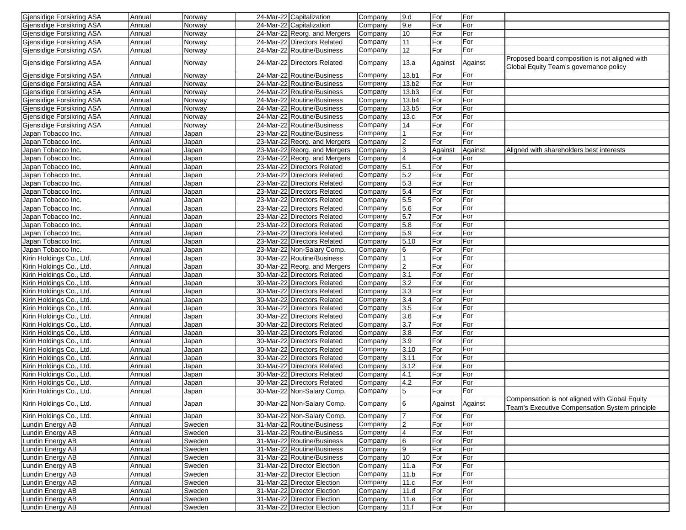| Gjensidige Forsikring ASA        | Annual | Norway | 24-Mar-22 Capitalization     | Company | 9.d               | For             | For     |                                                                                                  |
|----------------------------------|--------|--------|------------------------------|---------|-------------------|-----------------|---------|--------------------------------------------------------------------------------------------------|
| Gjensidige Forsikring ASA        | Annual | Norway | 24-Mar-22 Capitalization     | Company | 9.e               | For             | For     |                                                                                                  |
| Gjensidige Forsikring ASA        | Annual | Norway | 24-Mar-22 Reorg. and Mergers | Company | 10                | For             | For     |                                                                                                  |
| Gjensidige Forsikring ASA        | Annual | Norway | 24-Mar-22 Directors Related  | Company | 11                | For             | For     |                                                                                                  |
| Gjensidige Forsikring ASA        | Annual | Norway | 24-Mar-22 Routine/Business   | Company | 12                | For             | For     |                                                                                                  |
| Gjensidige Forsikring ASA        | Annual | Norway | 24-Mar-22 Directors Related  | Company | 13.a              | Against         | Against | Proposed board composition is not aligned with<br>Global Equity Team's governance policy         |
| Gjensidige Forsikring ASA        | Annual | Norway | 24-Mar-22 Routine/Business   | Company | 13.b1             | For             | For     |                                                                                                  |
| <b>Gjensidige Forsikring ASA</b> | Annual | Norway | 24-Mar-22 Routine/Business   | Company | 13.b <sub>2</sub> | For             | For     |                                                                                                  |
| Gjensidige Forsikring ASA        | Annual | Norway | 24-Mar-22 Routine/Business   | Company | 13.b3             | For             | For     |                                                                                                  |
| Gjensidige Forsikring ASA        | Annual | Norway | 24-Mar-22 Routine/Business   | Company | 13.b4             | For             | For     |                                                                                                  |
| Gjensidige Forsikring ASA        | Annual | Norway | 24-Mar-22 Routine/Business   | Company | 13.b5             | For             | For     |                                                                                                  |
| Gjensidige Forsikring ASA        | Annual | Norway | 24-Mar-22 Routine/Business   | Company | 13.c              | For             | For     |                                                                                                  |
| Gjensidige Forsikring ASA        | Annual | Norway | 24-Mar-22 Routine/Business   | Company | 14                | For             | For     |                                                                                                  |
|                                  |        |        |                              |         |                   |                 |         |                                                                                                  |
| Japan Tobacco Inc.               | Annual | Japan  | 23-Mar-22 Routine/Business   | Company |                   | For             | For     |                                                                                                  |
| Japan Tobacco Inc.               | Annual | Japan  | 23-Mar-22 Reorg. and Mergers | Company | $\overline{c}$    | For             | For     |                                                                                                  |
| Japan Tobacco Inc.               | Annual | Japan  | 23-Mar-22 Reorg. and Mergers | Company | 3                 | Against         | Against | Aligned with shareholders best interests                                                         |
| Japan Tobacco Inc.               | Annual | Japan  | 23-Mar-22 Reorg. and Mergers | Company | $\overline{4}$    | For             | For     |                                                                                                  |
| Japan Tobacco Inc.               | Annual | Japan  | 23-Mar-22 Directors Related  | Company | 5.1               | For             | For     |                                                                                                  |
| Japan Tobacco Inc.               | Annual | Japan  | 23-Mar-22 Directors Related  | Company | 5.2               | For             | For     |                                                                                                  |
| Japan Tobacco Inc.               | Annual | Japan  | 23-Mar-22 Directors Related  | Company | 5.3               | For             | For     |                                                                                                  |
| Japan Tobacco Inc.               | Annual | Japan  | 23-Mar-22 Directors Related  | Company | 5.4               | For             | For     |                                                                                                  |
| Japan Tobacco Inc.               | Annual | Japan  | 23-Mar-22 Directors Related  | Company | 5.5               | For             | For     |                                                                                                  |
| Japan Tobacco Inc.               | Annual | Japan  | 23-Mar-22 Directors Related  | Company | 5.6               | For             | For     |                                                                                                  |
| Japan Tobacco Inc.               | Annual | Japan  | 23-Mar-22 Directors Related  | Company | 5.7               | For             | For     |                                                                                                  |
| Japan Tobacco Inc.               | Annual | Japan  | 23-Mar-22 Directors Related  | Company | 5.8               | For             | For     |                                                                                                  |
| Japan Tobacco Inc.               | Annual | Japan  | 23-Mar-22 Directors Related  | Company | 5.9               | For             | For     |                                                                                                  |
| Japan Tobacco Inc.               | Annual | Japan  | 23-Mar-22 Directors Related  | Company | 5.10              | For             | For     |                                                                                                  |
| Japan Tobacco Inc.               | Annual | Japan  | 23-Mar-22 Non-Salary Comp.   | Company | 6                 | For             | For     |                                                                                                  |
| Kirin Holdings Co., Ltd.         | Annual | Japan  | 30-Mar-22 Routine/Business   | Company |                   | For             | For     |                                                                                                  |
| Kirin Holdings Co., Ltd.         | Annual | Japan  | 30-Mar-22 Reorg. and Mergers | Company | $\overline{2}$    | For             | For     |                                                                                                  |
| Kirin Holdings Co., Ltd.         | Annual | Japan  | 30-Mar-22 Directors Related  | Company | 3.1               | For             | For     |                                                                                                  |
| Kirin Holdings Co., Ltd.         | Annual | Japan  | 30-Mar-22 Directors Related  | Company | 3.2               | For             | For     |                                                                                                  |
| Kirin Holdings Co., Ltd.         | Annual | Japan  | 30-Mar-22 Directors Related  | Company | 3.3               | For             | For     |                                                                                                  |
|                                  |        |        | 30-Mar-22 Directors Related  |         | 3.4               |                 | For     |                                                                                                  |
| Kirin Holdings Co., Ltd.         | Annual | Japan  |                              | Company |                   | For<br>For      |         |                                                                                                  |
| Kirin Holdings Co., Ltd.         | Annual | Japan  | 30-Mar-22 Directors Related  | Company | 3.5               |                 | For     |                                                                                                  |
| Kirin Holdings Co., Ltd.         | Annual | Japan  | 30-Mar-22 Directors Related  | Company | 3.6               | For             | For     |                                                                                                  |
| Kirin Holdings Co., Ltd.         | Annual | Japan  | 30-Mar-22 Directors Related  | Company | 3.7               | For             | For     |                                                                                                  |
| Kirin Holdings Co., Ltd.         | Annual | Japan  | 30-Mar-22 Directors Related  | Company | 3.8               | For             | For     |                                                                                                  |
| Kirin Holdings Co., Ltd.         | Annual | Japan  | 30-Mar-22 Directors Related  | Company | 3.9               | For             | For     |                                                                                                  |
| Kirin Holdings Co., Ltd.         | Annual | Japan  | 30-Mar-22 Directors Related  | Company | 3.10              | For             | For     |                                                                                                  |
| Kirin Holdings Co., Ltd.         | Annual | Japan  | 30-Mar-22 Directors Related  | Company | 3.11              | For             | For     |                                                                                                  |
| Kirin Holdings Co., Ltd.         | Annual | Japan  | 30-Mar-22 Directors Related  | Company | 3.12              | For             | For     |                                                                                                  |
| Kirin Holdings Co., Ltd.         | Annual | Japan  | 30-Mar-22 Directors Related  | Company | 4.1               | For             | For     |                                                                                                  |
| Kirin Holdings Co., Ltd.         | Annual | Japan  | 30-Mar-22 Directors Related  | Company | 4.2               | For             | For     |                                                                                                  |
| Kirin Holdings Co., Ltd.         | Annual | Japan  | 30-Mar-22 Non-Salary Comp.   | Company | 5                 | For             | For     |                                                                                                  |
| Kirin Holdings Co., Ltd.         | Annual | Japan  | 30-Mar-22 Non-Salary Comp.   | Company | $6\phantom{1}6$   | Against Against |         | Compensation is not aligned with Global Equity<br>Team's Executive Compensation System principle |
| Kirin Holdings Co., Ltd.         | Annual | Japan  | 30-Mar-22 Non-Salary Comp.   | Company | $\overline{7}$    | For             | For     |                                                                                                  |
| Lundin Energy AB                 | Annual | Sweden | 31-Mar-22 Routine/Business   | Company | $\overline{2}$    | For             | For     |                                                                                                  |
| Lundin Energy AB                 | Annual | Sweden | 31-Mar-22 Routine/Business   | Company | $\overline{4}$    | For             | For     |                                                                                                  |
| Lundin Energy AB                 | Annual | Sweden | 31-Mar-22 Routine/Business   | Company | 6                 | For             | For     |                                                                                                  |
| Lundin Energy AB                 | Annual | Sweden | 31-Mar-22 Routine/Business   | Company | 9                 | For             | For     |                                                                                                  |
| Lundin Energy AB                 | Annual | Sweden | 31-Mar-22 Routine/Business   | Company | 10                | For             | For     |                                                                                                  |
| Lundin Energy AB                 | Annual | Sweden | 31-Mar-22 Director Election  | Company | 11.a              | For             | For     |                                                                                                  |
| Lundin Energy AB                 | Annual | Sweden | 31-Mar-22 Director Election  | Company | 11.b              | For             | For     |                                                                                                  |
| Lundin Energy AB                 | Annual | Sweden | 31-Mar-22 Director Election  | Company | 11.c              | For             | For     |                                                                                                  |
| Lundin Energy AB                 | Annual | Sweden | 31-Mar-22 Director Election  | Company | 11.d              | For             | For     |                                                                                                  |
| Lundin Energy AB                 | Annual | Sweden | 31-Mar-22 Director Election  | Company | 11.e              | For             | For     |                                                                                                  |
| Lundin Energy AB                 | Annual | Sweden | 31-Mar-22 Director Election  | Company | 11.f              | For             | For     |                                                                                                  |
|                                  |        |        |                              |         |                   |                 |         |                                                                                                  |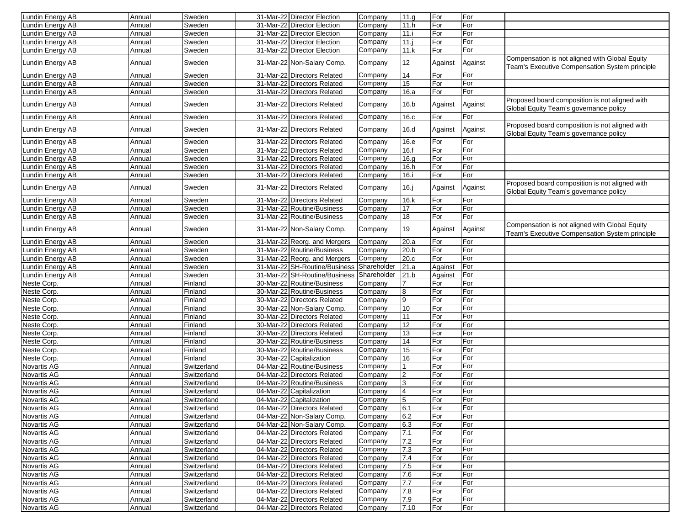| Lundin Energy AB | Annual | Sweden      | 31-Mar-22 Director Election   | Company     | 11.9           | For     | For     |                                                                                                  |
|------------------|--------|-------------|-------------------------------|-------------|----------------|---------|---------|--------------------------------------------------------------------------------------------------|
| undin Energy AB  | Annual | Sweden      | 31-Mar-22 Director Election   | Company     | 11.h           | For     | For     |                                                                                                  |
| undin Energy AB  | Annual | Sweden      | 31-Mar-22 Director Election   | Company     | 11.i           | For     | For     |                                                                                                  |
| undin Energy AB  | Annual | Sweden      | 31-Mar-22 Director Election   | Company     | $11.$ j        | For     | For     |                                                                                                  |
| undin Energy AB  | Annual | Sweden      | 31-Mar-22 Director Election   | Company     | 11.k           | For     | For     |                                                                                                  |
| Lundin Energy AB | Annual | Sweden      | 31-Mar-22 Non-Salary Comp.    | Company     | 12             | Against | Against | Compensation is not aligned with Global Equity<br>Team's Executive Compensation System principle |
| Lundin Energy AB | Annual | Sweden      | 31-Mar-22 Directors Related   | Company     | 14             | For     | For     |                                                                                                  |
| undin Energy AB  | Annual | Sweden      | 31-Mar-22 Directors Related   | Company     | 15             | For     | For     |                                                                                                  |
| undin Energy AB  | Annual | Sweden      | 31-Mar-22 Directors Related   | Company     | 16.a           | For     | For     |                                                                                                  |
| Lundin Energy AB | Annual | Sweden      | 31-Mar-22 Directors Related   | Company     | 16.b           | Against | Against | Proposed board composition is not aligned with<br>Global Equity Team's governance policy         |
| Lundin Energy AB | Annual | Sweden      | 31-Mar-22 Directors Related   | Company     | 16.c           | For     | For     |                                                                                                  |
| Lundin Energy AB | Annual | Sweden      | 31-Mar-22 Directors Related   | Company     | 16.d           | Against | Against | Proposed board composition is not aligned with<br>Global Equity Team's governance policy         |
| undin Energy AB  | Annual | Sweden      | 31-Mar-22 Directors Related   | Company     | 16.e           | For     | For     |                                                                                                  |
| undin Energy AB  | Annual | Sweden      | 31-Mar-22 Directors Related   | Company     | 16.f           | For     | For     |                                                                                                  |
| undin Energy AB  | Annual | Sweden      | 31-Mar-22 Directors Related   | Company     | 16.9           | For     | For     |                                                                                                  |
| undin Energy AB  | Annual | Sweden      | 31-Mar-22 Directors Related   | Company     | 16.h           | For     | For     |                                                                                                  |
| undin Energy AB  | Annual | Sweden      | 31-Mar-22 Directors Related   | Company     | 16.i           | For     | For     |                                                                                                  |
| Lundin Energy AB | Annual | Sweden      | 31-Mar-22 Directors Related   | Company     | 16.j           | Against | Against | Proposed board composition is not aligned with<br>Global Equity Team's governance policy         |
| undin Energy AB  | Annual | Sweden      | 31-Mar-22 Directors Related   | Company     | 16.k           | For     | For     |                                                                                                  |
| undin Energy AB  | Annual | Sweden      | 31-Mar-22 Routine/Business    | Company     | 17             | For     | For     |                                                                                                  |
| undin Energy AB  | Annual | Sweden      | 31-Mar-22 Routine/Business    | Company     | 18             | For     | For     |                                                                                                  |
| Lundin Energy AB | Annual | Sweden      | 31-Mar-22 Non-Salary Comp.    | Company     | 19             | Against | Against | Compensation is not aligned with Global Equity<br>Team's Executive Compensation System principle |
| undin Energy AB  | Annual | Sweden      | 31-Mar-22 Reorg. and Mergers  | Company     | 20.a           | For     | For     |                                                                                                  |
| undin Energy AB  | Annual | Sweden      | 31-Mar-22 Routine/Business    | Company     | 20.b           | For     | For     |                                                                                                  |
| undin Energy AB  | Annual | Sweden      | 31-Mar-22 Reorg. and Mergers  | Company     | 20.c           | For     | For     |                                                                                                  |
| undin Energy AB  | Annual | Sweden      | 31-Mar-22 SH-Routine/Business | Shareholder | 21.a           | Against | For     |                                                                                                  |
| Lundin Energy AB | Annual | Sweden      | 31-Mar-22 SH-Routine/Business | Shareholder | 21.b           | Against | For     |                                                                                                  |
| Neste Corp.      | Annual | Finland     | 30-Mar-22 Routine/Business    | Company     | 7              | For     | For     |                                                                                                  |
| Neste Corp.      | Annual | Finland     | 30-Mar-22 Routine/Business    | Company     | 8              | For     | For     |                                                                                                  |
| Neste Corp.      | Annual | Finland     | 30-Mar-22 Directors Related   | Company     | 9              | For     | For     |                                                                                                  |
| Neste Corp.      | Annual | Finland     | 30-Mar-22 Non-Salary Comp.    | Company     | 10             | For     | For     |                                                                                                  |
| Neste Corp.      | Annual | Finland     | 30-Mar-22 Directors Related   | Company     | 11             | For     | For     |                                                                                                  |
| Neste Corp.      | Annual | Finland     | 30-Mar-22 Directors Related   | Company     | 12             | For     | For     |                                                                                                  |
| Neste Corp.      | Annual | Finland     | 30-Mar-22 Directors Related   | Company     | 13             | For     | For     |                                                                                                  |
| Neste Corp.      | Annual | Finland     | 30-Mar-22 Routine/Business    | Company     | 14             | For     | For     |                                                                                                  |
|                  |        |             |                               |             |                |         |         |                                                                                                  |
| Neste Corp.      | Annual | Finland     | 30-Mar-22 Routine/Business    | Company     | 15             | For     | For     |                                                                                                  |
| Neste Corp.      | Annual | Finland     | 30-Mar-22 Capitalization      | Company     | 16             | For     | For     |                                                                                                  |
| Novartis AG      | Annual | Switzerland | 04-Mar-22 Routine/Business    | Company     | 1              | For     | For     |                                                                                                  |
| Novartis AG      | Annual | Switzerland | 04-Mar-22 Directors Related   | Company     | $\overline{2}$ | For     | For     |                                                                                                  |
| Novartis AG      | Annual | Switzerland | 04-Mar-22 Routine/Business    | Company     | 3              | For     | For     |                                                                                                  |
| Novartis AG      | Annual | Switzerland | 04-Mar-22 Capitalization      | Company     | $\overline{4}$ | For     | For     |                                                                                                  |
| Novartis AG      | Annual | Switzerland | 04-Mar-22 Capitalization      | Company     | 15             | For     | For     |                                                                                                  |
| Novartis AG      | Annual | Switzerland | 04-Mar-22 Directors Related   | Company     | 6.1            | For     | For     |                                                                                                  |
| Novartis AG      | Annual | Switzerland | 04-Mar-22 Non-Salary Comp.    | Company     | 6.2            | For     | For     |                                                                                                  |
| Novartis AG      | Annual | Switzerland | 04-Mar-22 Non-Salary Comp.    | Company     | 6.3            | For     | For     |                                                                                                  |
| Novartis AG      | Annual | Switzerland | 04-Mar-22 Directors Related   | Company     | 7.1            | For     | For     |                                                                                                  |
| Novartis AG      | Annual | Switzerland | 04-Mar-22 Directors Related   | Company     | 7.2            | For     | For     |                                                                                                  |
| Novartis AG      | Annual | Switzerland | 04-Mar-22 Directors Related   | Company     | 7.3            | For     | For     |                                                                                                  |
| Novartis AG      | Annual | Switzerland | 04-Mar-22 Directors Related   | Company     | 7.4            | For     | For     |                                                                                                  |
| Novartis AG      | Annual | Switzerland | 04-Mar-22 Directors Related   | Company     | 7.5            | For     | For     |                                                                                                  |
| Novartis AG      | Annual | Switzerland | 04-Mar-22 Directors Related   | Company     | 7.6            | For     | For     |                                                                                                  |
| Novartis AG      | Annual | Switzerland | 04-Mar-22 Directors Related   | Company     | 7.7            | For     | For     |                                                                                                  |
| Novartis AG      | Annual | Switzerland | 04-Mar-22 Directors Related   | Company     | 7.8            | For     | For     |                                                                                                  |
| Novartis AG      | Annual | Switzerland | 04-Mar-22 Directors Related   | Company     | 7.9            | For     | For     |                                                                                                  |
| Novartis AG      | Annual | Switzerland | 04-Mar-22 Directors Related   | Company     | 7.10           | For     | For     |                                                                                                  |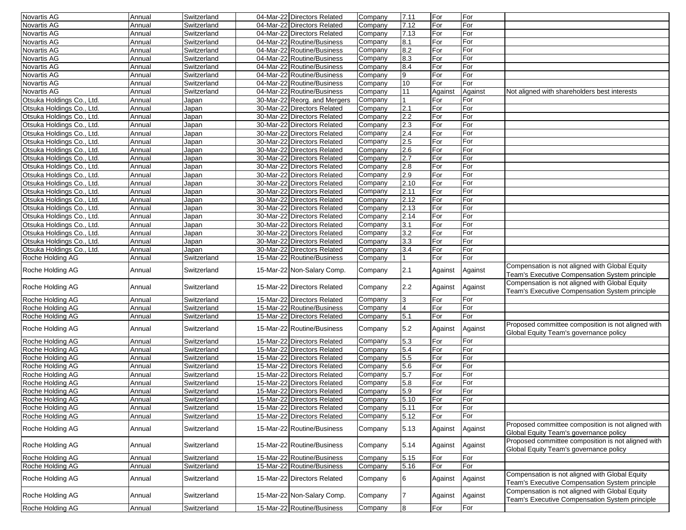| Novartis AG                                            | Annual           | Switzerland                | 04-Mar-22 Directors Related                               | Company            | 7.11           | For            | For            |                                                                                                                                        |
|--------------------------------------------------------|------------------|----------------------------|-----------------------------------------------------------|--------------------|----------------|----------------|----------------|----------------------------------------------------------------------------------------------------------------------------------------|
| Novartis AG                                            | Annual           | Switzerland                | 04-Mar-22 Directors Related                               | Company            | 7.12           | For            | For            |                                                                                                                                        |
| Novartis AG                                            | Annual           | Switzerland                | 04-Mar-22 Directors Related                               | Company            | 7.13           | For            | For            |                                                                                                                                        |
| <b>Novartis AG</b>                                     | Annual           | Switzerland                | 04-Mar-22 Routine/Business                                | Company            | 8.1            | For            | For            |                                                                                                                                        |
| Novartis AG                                            | Annual           | Switzerland                | 04-Mar-22 Routine/Business                                | Company            | 8.2            | For            | For            |                                                                                                                                        |
| Novartis AG                                            | Annual           | Switzerland                | 04-Mar-22 Routine/Business                                | Company            | 8.3            | For            | For            |                                                                                                                                        |
| Novartis AG                                            | Annual           | Switzerland                | 04-Mar-22 Routine/Business                                | Company            | 8.4            | For            | For            |                                                                                                                                        |
| Novartis AG                                            | Annual           | Switzerland                | 04-Mar-22 Routine/Business                                | Company            | 9              | For            | For            |                                                                                                                                        |
| <b>Novartis AG</b>                                     | Annual           | Switzerland                | 04-Mar-22 Routine/Business                                | Company            | 10             | For            | For            |                                                                                                                                        |
| <b>Novartis AG</b>                                     | Annual           | Switzerland                | 04-Mar-22 Routine/Business                                | Company            | 11             | Against        | Against        | Not aligned with shareholders best interests                                                                                           |
|                                                        |                  |                            |                                                           |                    | $\vert$ 1      | For            | For            |                                                                                                                                        |
| Otsuka Holdings Co., Ltd.<br>Otsuka Holdings Co., Ltd. | Annual           | Japan                      | 30-Mar-22 Reorg. and Mergers                              | Company            | 2.1            |                |                |                                                                                                                                        |
|                                                        | Annual           | Japan                      | 30-Mar-22 Directors Related                               | Company            |                | For            | For            |                                                                                                                                        |
| Otsuka Holdings Co., Ltd.                              | Annual           | Japan                      | 30-Mar-22 Directors Related                               | Company            | 2.2            | For            | For            |                                                                                                                                        |
| Otsuka Holdings Co., Ltd.                              | Annual           | Japan                      | 30-Mar-22 Directors Related                               | Company            | 2.3            | For            | For            |                                                                                                                                        |
| Otsuka Holdings Co., Ltd.                              | Annual           | Japan                      | 30-Mar-22 Directors Related                               | Company            | 2.4            | For            | For            |                                                                                                                                        |
| Otsuka Holdings Co., Ltd.                              | Annual           | Japan                      | 30-Mar-22 Directors Related                               | Company            | 2.5            | For            | For            |                                                                                                                                        |
| Otsuka Holdings Co., Ltd.                              | Annual           | Japan                      | 30-Mar-22 Directors Related                               | Company            | 2.6            | For            | For            |                                                                                                                                        |
| Otsuka Holdings Co., Ltd.                              | Annual           | Japan                      | 30-Mar-22 Directors Related                               | Company            | 2.7            | For            | For            |                                                                                                                                        |
| Otsuka Holdings Co., Ltd.                              | Annual           | Japan                      | 30-Mar-22 Directors Related                               | Company            | 2.8            | For            | For            |                                                                                                                                        |
| Otsuka Holdings Co., Ltd.                              | Annual           | Japan                      | 30-Mar-22 Directors Related                               | Company            | 2.9            | For            | For            |                                                                                                                                        |
| Otsuka Holdings Co., Ltd.                              | Annual           | Japan                      | 30-Mar-22 Directors Related                               | Company            | 2.10           | For            | For            |                                                                                                                                        |
| Otsuka Holdings Co., Ltd.                              | Annual           | Japan                      | 30-Mar-22 Directors Related                               | Company            | 2.11           | For            | For            |                                                                                                                                        |
| Otsuka Holdings Co., Ltd.                              | Annual           | Japan                      | 30-Mar-22 Directors Related                               | Company            | 2.12           | For            | For            |                                                                                                                                        |
| Otsuka Holdings Co., Ltd.                              | Annual           | Japan                      | 30-Mar-22 Directors Related                               | Company            | 2.13           | For            | For            |                                                                                                                                        |
| Otsuka Holdings Co., Ltd.                              | Annual           | Japan                      | 30-Mar-22 Directors Related                               | Company            | 2.14           | For            | For            |                                                                                                                                        |
| Otsuka Holdings Co., Ltd.                              | Annual           | Japan                      | 30-Mar-22 Directors Related                               | Company            | 3.1            | For            | For            |                                                                                                                                        |
| Otsuka Holdings Co., Ltd.                              | Annual           | Japan                      | 30-Mar-22 Directors Related                               | Company            | 3.2            | For            | For            |                                                                                                                                        |
| Otsuka Holdings Co., Ltd.                              | Annual           | Japan                      | 30-Mar-22 Directors Related                               | Company            | 3.3            | For            | For            |                                                                                                                                        |
| Otsuka Holdings Co., Ltd.                              | Annual           | Japan                      | 30-Mar-22 Directors Related                               | Company            | 3.4            | For            | For            |                                                                                                                                        |
| Roche Holding AG                                       | Annual           | Switzerland                | 15-Mar-22 Routine/Business                                | Company            | $\overline{1}$ | For            | For            |                                                                                                                                        |
| Roche Holding AG                                       | Annual           | Switzerland                |                                                           |                    |                |                |                | Compensation is not aligned with Global Equity                                                                                         |
|                                                        |                  |                            | 15-Mar-22 Non-Salary Comp.                                | Company            | 2.1            | Against        | Against        | Team's Executive Compensation System principle                                                                                         |
| Roche Holding AG                                       | Annual           | Switzerland                | 15-Mar-22 Directors Related                               | Company            | 2.2            | Against        | Against        | Compensation is not aligned with Global Equity<br>Team's Executive Compensation System principle                                       |
| Roche Holding AG                                       | Annual           | Switzerland                | 15-Mar-22 Directors Related                               | Company            | 3              | For            | For            |                                                                                                                                        |
| Roche Holding AG                                       | Annual           | Switzerland                | 15-Mar-22 Routine/Business                                | Company            | $\overline{4}$ | For            | For            |                                                                                                                                        |
| Roche Holding AG                                       | Annual           | Switzerland                | 15-Mar-22 Directors Related                               | Company            | 5.1            | For            | For            |                                                                                                                                        |
| Roche Holding AG                                       | Annual           | Switzerland                | 15-Mar-22 Routine/Business                                | Company            | 5.2            | Against        | Against        | Proposed committee composition is not aligned with<br>Global Equity Team's governance policy                                           |
| Roche Holding AG                                       | Annual           | Switzerland                | 15-Mar-22 Directors Related                               | Company            | 5.3            | For            | For            |                                                                                                                                        |
| Roche Holding AG                                       | Annual           | Switzerland                | 15-Mar-22 Directors Related                               | Company            | 5.4            | For            | For            |                                                                                                                                        |
| Roche Holding AG                                       | Annual           | Switzerland                | 15-Mar-22 Directors Related                               | Company            | 5.5            | For            | For            |                                                                                                                                        |
| Roche Holding AG                                       | Annual           | Switzerland                | 15-Mar-22 Directors Related                               | Company            | 5.6            | For            | For            |                                                                                                                                        |
| Roche Holding AG                                       | Annual           | Switzerland                | 15-Mar-22 Directors Related                               | Company            |                | For            | For            |                                                                                                                                        |
|                                                        |                  | Switzerland                | 15-Mar-22 Directors Related                               |                    | 5.7            | For            |                |                                                                                                                                        |
| Roche Holding AG                                       | Annual           | Switzerland                |                                                           | Company            | 5.8            |                | For            |                                                                                                                                        |
| Roche Holding AG                                       | Annual           |                            | 15-Mar-22 Directors Related                               | Company            | 5.9            | For            | For            |                                                                                                                                        |
| Roche Holding AG                                       | Annual           | Switzerland                | 15-Mar-22 Directors Related                               | Company            | 5.10           | For            | For            |                                                                                                                                        |
| Roche Holding AG                                       | Annual           | Switzerland                | 15-Mar-22 Directors Related                               | Company            | 5.11           | For            | For            |                                                                                                                                        |
| Roche Holding AG<br>Roche Holding AG                   | Annual<br>Annual | Switzerland<br>Switzerland | 15-Mar-22 Directors Related<br>15-Mar-22 Routine/Business | Company<br>Company | 5.12<br>5.13   | For<br>Against | For<br>Against | Proposed committee composition is not aligned with                                                                                     |
| Roche Holding AG                                       | Annual           | Switzerland                | 15-Mar-22 Routine/Business                                | Company            | 5.14           | Against        | Against        | Global Equity Team's governance policy<br>Proposed committee composition is not aligned with<br>Global Equity Team's governance policy |
| Roche Holding AG                                       | Annual           | Switzerland                | 15-Mar-22 Routine/Business                                | Company            | 5.15           | For            | For            |                                                                                                                                        |
|                                                        | Annual           | Switzerland                |                                                           | Company            |                |                | For            |                                                                                                                                        |
| Roche Holding AG<br>Roche Holding AG                   | Annual           | Switzerland                | 15-Mar-22 Routine/Business<br>15-Mar-22 Directors Related | Company            | 5.16<br>6      | For<br>Against | Against        | Compensation is not aligned with Global Equity<br>Team's Executive Compensation System principle                                       |
| Roche Holding AG                                       | Annual           | Switzerland                | 15-Mar-22 Non-Salary Comp.<br>15-Mar-22 Routine/Business  | Company            | 17             | Against<br>For | Against        | Compensation is not aligned with Global Equity<br>Team's Executive Compensation System principle                                       |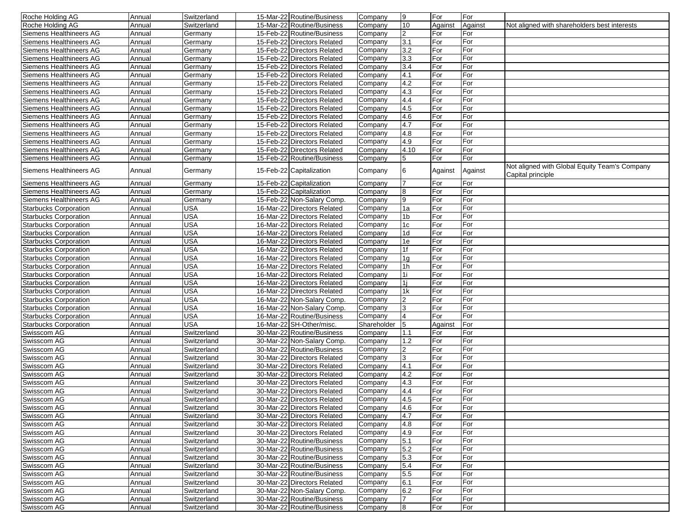| Roche Holding AG             | Annual | Switzerland | 15-Mar-22 Routine/Business  | Company     | Ι9             | For     | For     |                                                                    |
|------------------------------|--------|-------------|-----------------------------|-------------|----------------|---------|---------|--------------------------------------------------------------------|
| Roche Holding AG             | Annual | Switzerland | 15-Mar-22 Routine/Business  | Company     | 10             | Against | Against | Not aligned with shareholders best interests                       |
| Siemens Healthineers AG      | Annual | Germany     | 15-Feb-22 Routine/Business  | Company     | 2              | For     | For     |                                                                    |
| Siemens Healthineers AG      | Annual | Germany     | 15-Feb-22 Directors Related | Company     | 3.1            | For     | For     |                                                                    |
| Siemens Healthineers AG      | Annual | Germany     | 15-Feb-22 Directors Related | Company     | 3.2            | For     | For     |                                                                    |
| Siemens Healthineers AG      | Annual | Germany     | 15-Feb-22 Directors Related | Company     | 3.3            | For     | For     |                                                                    |
| Siemens Healthineers AG      | Annual | Germany     | 15-Feb-22 Directors Related | Company     | 3.4            | For     | For     |                                                                    |
| Siemens Healthineers AG      | Annual | Germany     | 15-Feb-22 Directors Related | Company     | 4.1            | For     | For     |                                                                    |
| Siemens Healthineers AG      | Annual | Germany     | 15-Feb-22 Directors Related | Company     | 4.2            | For     | For     |                                                                    |
| Siemens Healthineers AG      | Annual | Germany     | 15-Feb-22 Directors Related | Company     | 4.3            | For     | For     |                                                                    |
| Siemens Healthineers AG      | Annual | Germany     | 15-Feb-22 Directors Related | Company     | 4.4            | For     | For     |                                                                    |
| Siemens Healthineers AG      | Annual | Germany     | 15-Feb-22 Directors Related | Company     | 4.5            | For     | For     |                                                                    |
| Siemens Healthineers AG      | Annual | Germany     | 15-Feb-22 Directors Related | Company     | 4.6            | For     | For     |                                                                    |
| Siemens Healthineers AG      | Annual | Germany     | 15-Feb-22 Directors Related | Company     | 4.7            | For     | For     |                                                                    |
| Siemens Healthineers AG      | Annual | Germany     | 15-Feb-22 Directors Related | Company     | 4.8            | For     | For     |                                                                    |
| Siemens Healthineers AG      | Annual | Germany     | 15-Feb-22 Directors Related | Company     | 4.9            | For     | For     |                                                                    |
| Siemens Healthineers AG      | Annual | Germany     | 15-Feb-22 Directors Related | Company     | 4.10           | For     | For     |                                                                    |
| Siemens Healthineers AG      | Annual | Germany     | 15-Feb-22 Routine/Business  | Company     | 5              | For     | For     |                                                                    |
| Siemens Healthineers AG      | Annual | Germany     | 15-Feb-22 Capitalization    | Company     | 6              | Against | Against | Not aligned with Global Equity Team's Company<br>Capital principle |
| Siemens Healthineers AG      | Annual | Germany     | 15-Feb-22 Capitalization    | Company     | $\overline{7}$ | For     | For     |                                                                    |
| Siemens Healthineers AG      | Annual | Germany     | 15-Feb-22 Capitalization    | Company     | 8              | For     | For     |                                                                    |
| Siemens Healthineers AG      | Annual | Germany     | 15-Feb-22 Non-Salary Comp.  | Company     | 9              | For     | For     |                                                                    |
| <b>Starbucks Corporation</b> | Annual | <b>USA</b>  | 16-Mar-22 Directors Related | Company     | 1a             | For     | For     |                                                                    |
| <b>Starbucks Corporation</b> | Annual | <b>USA</b>  | 16-Mar-22 Directors Related | Company     | 1 <sub>b</sub> | For     | For     |                                                                    |
| <b>Starbucks Corporation</b> | Annual | <b>USA</b>  | 16-Mar-22 Directors Related | Company     | 1c             | For     | For     |                                                                    |
| <b>Starbucks Corporation</b> | Annual | <b>USA</b>  | 16-Mar-22 Directors Related | Company     | 1 <sub>d</sub> | For     | For     |                                                                    |
| <b>Starbucks Corporation</b> | Annual | <b>USA</b>  | 16-Mar-22 Directors Related | Company     | 1e             | For     | For     |                                                                    |
| <b>Starbucks Corporation</b> | Annual | <b>USA</b>  | 16-Mar-22 Directors Related | Company     | 1f             | For     | For     |                                                                    |
| <b>Starbucks Corporation</b> | Annual | <b>USA</b>  | 16-Mar-22 Directors Related | Company     | 1 <sub>q</sub> | For     | For     |                                                                    |
| <b>Starbucks Corporation</b> | Annual | <b>USA</b>  | 16-Mar-22 Directors Related | Company     | 1 <sub>h</sub> | For     | For     |                                                                    |
| <b>Starbucks Corporation</b> | Annual | <b>USA</b>  | 16-Mar-22 Directors Related | Company     | <sup>1i</sup>  | For     | For     |                                                                    |
| <b>Starbucks Corporation</b> | Annual | <b>USA</b>  | 16-Mar-22 Directors Related | Company     | 1i             | For     | For     |                                                                    |
| <b>Starbucks Corporation</b> | Annual | <b>USA</b>  | 16-Mar-22 Directors Related | Company     | 1k             | For     | For     |                                                                    |
| <b>Starbucks Corporation</b> | Annual | <b>USA</b>  | 16-Mar-22 Non-Salary Comp.  | Company     | $\overline{2}$ | For     | For     |                                                                    |
| <b>Starbucks Corporation</b> | Annual | <b>USA</b>  | 16-Mar-22 Non-Salary Comp.  | Company     | 3              | For     | For     |                                                                    |
| <b>Starbucks Corporation</b> | Annual | <b>USA</b>  | 16-Mar-22 Routine/Business  | Company     |                | For     | For     |                                                                    |
| <b>Starbucks Corporation</b> | Annual | <b>USA</b>  | 16-Mar-22 SH-Other/misc.    | Shareholder | 5              | Against | For     |                                                                    |
| Swisscom AG                  | Annual | Switzerland | 30-Mar-22 Routine/Business  | Company     | 1.1            | For     | For     |                                                                    |
| Swisscom AG                  | Annual | Switzerland | 30-Mar-22 Non-Salary Comp.  | Company     | 1.2            | For     | For     |                                                                    |
| Swisscom AG                  | Annual | Switzerland | 30-Mar-22 Routine/Business  | Company     | 2              | For     | For     |                                                                    |
| Swisscom AG                  | Annual | Switzerland | 30-Mar-22 Directors Related | Company     | 3              | For     | For     |                                                                    |
| Swisscom AG                  | Annual | Switzerland | 30-Mar-22 Directors Related | Company     | 4.1            | For     | For     |                                                                    |
| Swisscom AG                  | Annual | Switzerland | 30-Mar-22 Directors Related | Company     | 4.2            | For     | For     |                                                                    |
| Swisscom AG                  | Annual | Switzerland | 30-Mar-22 Directors Related | Company     | 4.3            | For     | For     |                                                                    |
| Swisscom AG                  | Annual | Switzerland | 30-Mar-22 Directors Related | Company     | 4.4            | For     | For     |                                                                    |
| Swisscom AG                  | Annual | Switzerland | 30-Mar-22 Directors Related | Company     | 4.5            | For     | For     |                                                                    |
| Swisscom AG                  | Annual | Switzerland | 30-Mar-22 Directors Related | Company     | 4.6            | For     | For     |                                                                    |
| Swisscom AG                  | Annual | Switzerland | 30-Mar-22 Directors Related | Company     | 4.7            | For     | For     |                                                                    |
| Swisscom AG                  | Annual | Switzerland | 30-Mar-22 Directors Related | Company     | 4.8            | For     | For     |                                                                    |
| Swisscom AG                  | Annual | Switzerland | 30-Mar-22 Directors Related | Company     | 4.9            | For     | For     |                                                                    |
| Swisscom AG                  | Annual | Switzerland | 30-Mar-22 Routine/Business  | Company     | 5.1            | For     | For     |                                                                    |
| Swisscom AG                  | Annual | Switzerland | 30-Mar-22 Routine/Business  | Company     | 5.2            | For     | For     |                                                                    |
| Swisscom AG                  | Annual | Switzerland | 30-Mar-22 Routine/Business  | Company     | 5.3            | For     | For     |                                                                    |
| Swisscom AG                  | Annual | Switzerland | 30-Mar-22 Routine/Business  | Company     | 5.4            | For     | For     |                                                                    |
| Swisscom AG                  | Annual | Switzerland | 30-Mar-22 Routine/Business  | Company     | 5.5            | For     | For     |                                                                    |
| Swisscom AG                  | Annual | Switzerland | 30-Mar-22 Directors Related | Company     | 6.1            | For     | For     |                                                                    |
| Swisscom AG                  | Annual | Switzerland | 30-Mar-22 Non-Salary Comp.  | Company     | 6.2            | For     | For     |                                                                    |
| Swisscom AG                  | Annual | Switzerland | 30-Mar-22 Routine/Business  | Company     | 17             | For     | For     |                                                                    |
| Swisscom AG                  | Annual | Switzerland | 30-Mar-22 Routine/Business  | Company     | 8              | For     | For     |                                                                    |